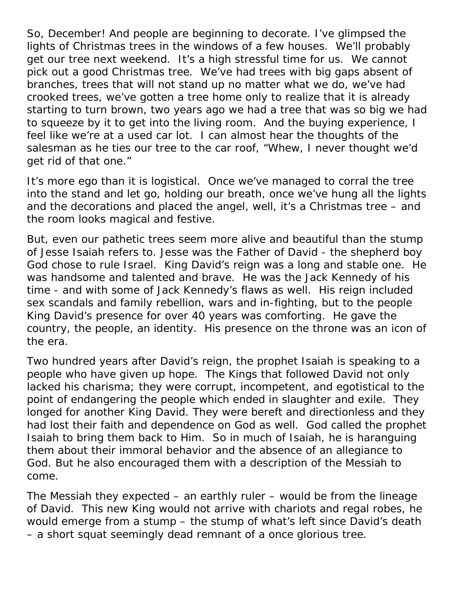So, December! And people are beginning to decorate. I've glimpsed the lights of Christmas trees in the windows of a few houses. We'll probably get our tree next weekend. It's a high stressful time for us. We cannot pick out a good Christmas tree. We've had trees with big gaps absent of branches, trees that will not stand up no matter what we do, we've had crooked trees, we've gotten a tree home only to realize that it is already starting to turn brown, two years ago we had a tree that was so big we had to squeeze by it to get into the living room. And the buying experience, I feel like we're at a used car lot. I can almost hear the thoughts of the salesman as he ties our tree to the car roof, "Whew, I never thought we'd get rid of that one."

It's more ego than it is logistical. Once we've managed to corral the tree into the stand and let go, holding our breath, once we've hung all the lights and the decorations and placed the angel, well, it's a Christmas tree – and the room looks magical and festive.

But, even our pathetic trees seem more alive and beautiful than the stump of Jesse Isaiah refers to. Jesse was the Father of David - the shepherd boy God chose to rule Israel. King David's reign was a long and stable one. He was handsome and talented and brave. He was the Jack Kennedy of his time - and with some of Jack Kennedy's flaws as well. His reign included sex scandals and family rebellion, wars and in-fighting, but to the people King David's presence for over 40 years was comforting. He gave the country, the people, an identity. His presence on the throne was an icon of the era.

Two hundred years after David's reign, the prophet Isaiah is speaking to a people who have given up hope. The Kings that followed David not only lacked his charisma; they were corrupt, incompetent, and egotistical to the point of endangering the people which ended in slaughter and exile. They longed for another King David. They were bereft and directionless and they had lost their faith and dependence on God as well. God called the prophet Isaiah to bring them back to Him. So in much of Isaiah, he is haranguing them about their immoral behavior and the absence of an allegiance to God. But he also encouraged them with a description of the Messiah to come.

The Messiah they expected – an earthly ruler – would be from the lineage of David. This new King would not arrive with chariots and regal robes, he would emerge from a stump – the stump of what's left since David's death – a short squat seemingly dead remnant of a once glorious tree.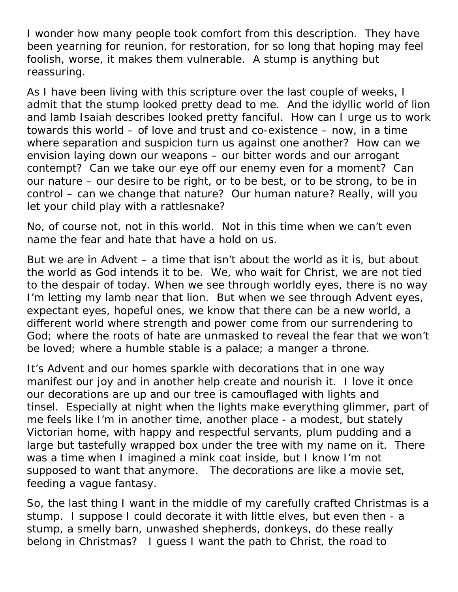I wonder how many people took comfort from this description. They have been yearning for reunion, for restoration, for so long that hoping may feel foolish, worse, it makes them vulnerable. A stump is anything but reassuring.

As I have been living with this scripture over the last couple of weeks, I admit that the stump looked pretty dead to me. And the idyllic world of lion and lamb Isaiah describes looked pretty fanciful. How can I urge us to work towards this world – of love and trust and co-existence – now, in a time where separation and suspicion turn us against one another? How can we envision laying down our weapons – our bitter words and our arrogant contempt? Can we take our eye off our enemy even for a moment? Can our nature – our desire to be right, or to be best, or to be strong, to be in control – can we change that nature? Our human nature? Really, will you let your child play with a rattlesnake?

No, of course not, not in this world. Not in this time when we can't even name the fear and hate that have a hold on us.

But we are in Advent – a time that isn't about the world as it is, but about the world as God intends it to be. We, who wait for Christ, we are not tied to the despair of today. When we see through worldly eyes, there is no way I'm letting my lamb near that lion. But when we see through Advent eyes, expectant eyes, hopeful ones, we know that there can be a new world, a different world where strength and power come from our surrendering to God; where the roots of hate are unmasked to reveal the fear that we won't be loved; where a humble stable is a palace; a manger a throne.

It's Advent and our homes sparkle with decorations that in one way manifest our joy and in another help create and nourish it. I love it once our decorations are up and our tree is camouflaged with lights and tinsel. Especially at night when the lights make everything glimmer, part of me feels like I'm in another time, another place - a modest, but stately Victorian home, with happy and respectful servants, plum pudding and a large but tastefully wrapped box under the tree with my name on it. There was a time when I imagined a mink coat inside, but I know I'm not supposed to want that anymore. The decorations are like a movie set, feeding a vague fantasy.

So, the last thing I want in the middle of my carefully crafted Christmas is a stump. I suppose I could decorate it with little elves, but even then - a stump, a smelly barn, unwashed shepherds, donkeys, do these really belong in Christmas? I guess I want the path to Christ, the road to